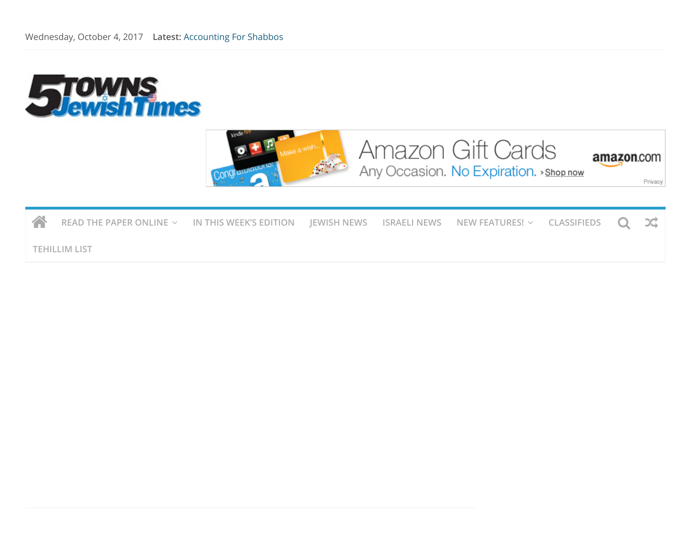



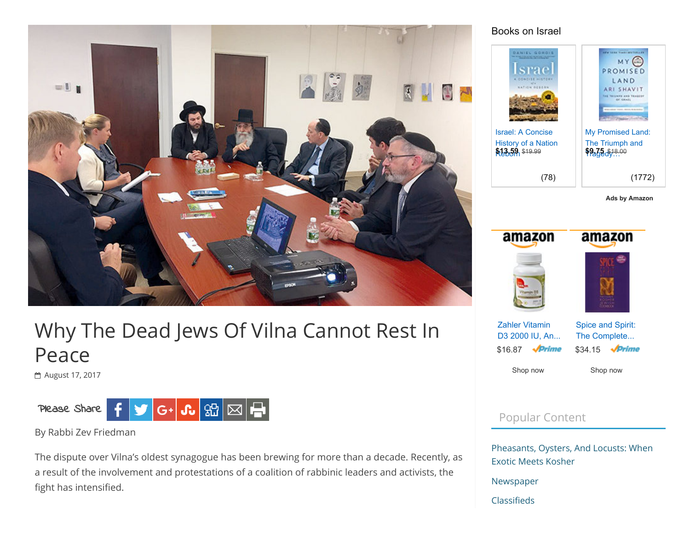

# Why The Dead Jews Of Vilna Cannot Rest In Peace

[August 17, 2017](http://5tjt.com/dead-jews-vilna-cannot-rest-peace/)



By Rabbi Zev Friedman

The dispute over Vilna's oldest synagogue has been brewing for more than a decade. Recently, as a result of the involvement and protestations of a coalition of rabbinic leaders and activists, the fight has intensified.

### Books on Israel



[Ads by Amazon](https://affiliate-program.amazon.com/home/ads/ref=sm_n_se_dkp_US_logo?adId=logo&creativeASIN=logo&linkId=38b1b7e4c91d4d346806d6312621322f&tag=koshercommerc-20&linkCode=w42&ref-refURL=http%3A%2F%2F5tjt.com%2Fdead-jews-vilna-cannot-rest-peace%2F&slotNum=0&imprToken=m7qj9PAnFKLPeFaHPhcFZA&ac-ms-src=nsa-ads&cid=nsa-ads)



[Shop](https://www.amazon.com/Zahler-All-Natural-Supplement-Advanced-Deficiencies/dp/B00F0IVYU2/ref=as_sl_pc_qf_sp_asin_til?tag=koshercommerc-20&linkCode=w00&linkId=55a1fdfa28b7c1ccf3115886e945a0a2&creativeASIN=B00F0IVYU2) now

[Shop](https://www.amazon.com/Spice-Spirit-Complete-Cookbook-classic/dp/082660238X/ref=as_sl_pc_qf_sp_asin_til?tag=koshercommerc-20&linkCode=w00&linkId=246f823bb3805a477a42459f6ec082d3&creativeASIN=082660238X) now

## Popular Content

[Pheasants, Oysters, And Locusts: When](http://5tjt.com/pheasants-oysters-locusts-exotic-meets-kosher/) Exotic Meets Kosher

[Newspaper](http://5tjt.com/newspaper/)

Classifieds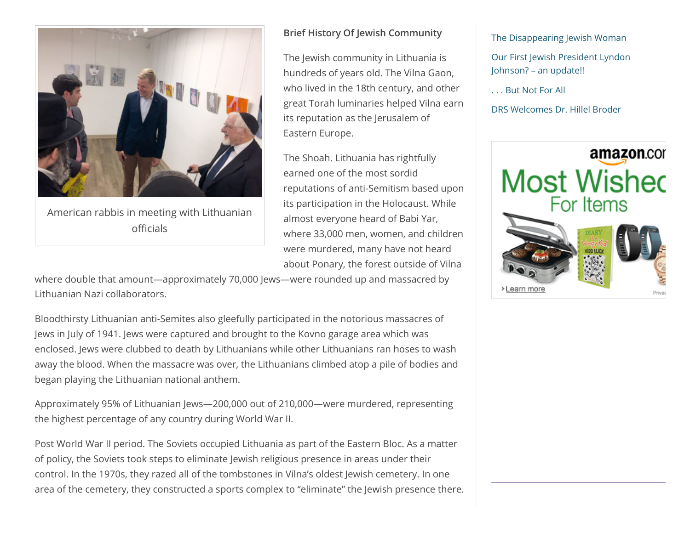

American rabbis in meeting with Lithuanian officials

#### Brief History Of Jewish Community

The Jewish community in Lithuania is hundreds of years old. The Vilna Gaon, who lived in the 18th century, and other great Torah luminaries helped Vilna earn its reputation as the Jerusalem of Eastern Europe.

The Shoah. Lithuania has rightfully earned one of the most sordid reputations of anti-Semitism based upon its participation in the Holocaust. While almost everyone heard of Babi Yar, where 33,000 men, women, and children were murdered, many have not heard about Ponary, the forest outside of Vilna

where double that amount—approximately 70,000 Jews—were rounded up and massacred by Lithuanian Nazi collaborators.

Bloodthirsty Lithuanian anti-Semites also gleefully participated in the notorious massacres of Jews in July of 1941. Jews were captured and brought to the Kovno garage area which was enclosed. Jews were clubbed to death by Lithuanians while other Lithuanians ran hoses to wash away the blood. When the massacre was over, the Lithuanians climbed atop a pile of bodies and began playing the Lithuanian national anthem.

Approximately 95% of Lithuanian Jews—200,000 out of 210,000—were murdered, representing the highest percentage of any country during World War II.

Post World War II period. The Soviets occupied Lithuania as part of the Eastern Bloc. As a matter of policy, the Soviets took steps to eliminate Jewish religious presence in areas under their control. In the 1970s, they razed all of the tombstones in Vilna's oldest Jewish cemetery. In one area of the cemetery, they constructed a sports complex to "eliminate" the Jewish presence there. [The Disappearing Jewish Woman](http://5tjt.com/disappearing-jewish-woman/)

[Our First Jewish President Lyndon](http://5tjt.com/our-first-jewish-president-lyndon-johnson-an-update/) Johnson? – an update!!

[. . . But Not For All](http://5tjt.com/but-not-for-all/)

[DRS Welcomes Dr. Hillel Broder](http://5tjt.com/drs-welcomes-dr-hillel-broder/)

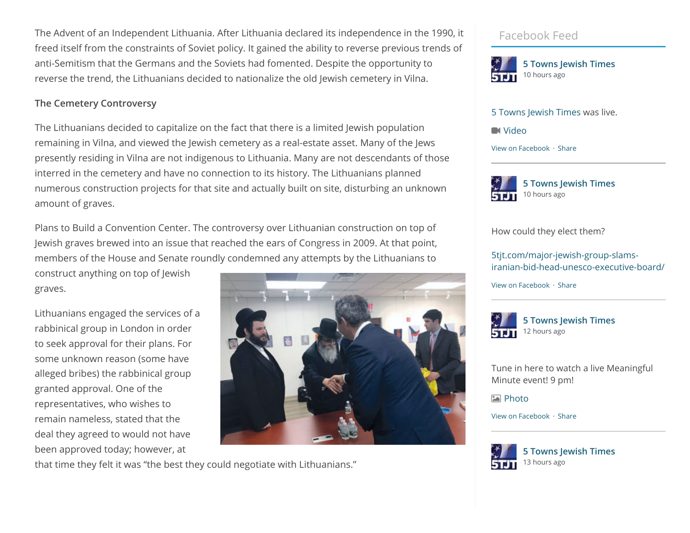The Advent of an Independent Lithuania. After Lithuania declared its independence in the 1990, it freed itself from the constraints of Soviet policy. It gained the ability to reverse previous trends of anti-Semitism that the Germans and the Soviets had fomented. Despite the opportunity to reverse the trend, the Lithuanians decided to nationalize the old Jewish cemetery in Vilna.

#### The Cemetery Controversy

The Lithuanians decided to capitalize on the fact that there is a limited Jewish population remaining in Vilna, and viewed the Jewish cemetery as a real-estate asset. Many of the Jews presently residing in Vilna are not indigenous to Lithuania. Many are not descendants of those interred in the cemetery and have no connection to its history. The Lithuanians planned numerous construction projects for that site and actually built on site, disturbing an unknown amount of graves.

Plans to Build a Convention Center. The controversy over Lithuanian construction on top of Jewish graves brewed into an issue that reached the ears of Congress in 2009. At that point, members of the House and Senate roundly condemned any attempts by the Lithuanians to

construct anything on top of Jewish graves.

Lithuanians engaged the services of a rabbinical group in London in order to seek approval for their plans. For some unknown reason (some have alleged bribes) the rabbinical group granted approval. One of the representatives, who wishes to remain nameless, stated that the deal they agreed to would not have been approved today; however, at



that time they felt it was "the best they could negotiate with Lithuanians."

## Facebook Feed



[5 Towns Jewish Times](http://facebook.com/149824215071132) was live.

**N** [Video](https://www.facebook.com/5TownsJewishTimes/posts/1418416164878591)

[View on Facebook](https://www.facebook.com/5TownsJewishTimes/posts/1418416164878591) · [Share](javascript:void(0);)



How could they elect them?

5tjt.com/major-jewish-group-slams[iranian-bid-head-unesco-executive-board/](http://5tjt.com/major-jewish-group-slams-iranian-bid-head-unesco-executive-board/)

[View on Facebook](https://www.facebook.com/149824215071132_1418350288218512) · [Share](javascript:void(0);)



[5 Towns Jewish Times](https://facebook.com/149824215071132)

Tune in here to watch a live Meaningful Minute event! 9 pm!

**[Photo](https://www.facebook.com/5TownsJewishTimes/photos/a.1418363204883887.1073741863.149824215071132/1418363184883889/?type=3)** 

[View on Facebook](https://www.facebook.com/5TownsJewishTimes/photos/a.1418363204883887.1073741863.149824215071132/1418363184883889/?type=3) · [Share](javascript:void(0);)



[5 Towns Jewish Times](https://facebook.com/149824215071132) 13 hours ago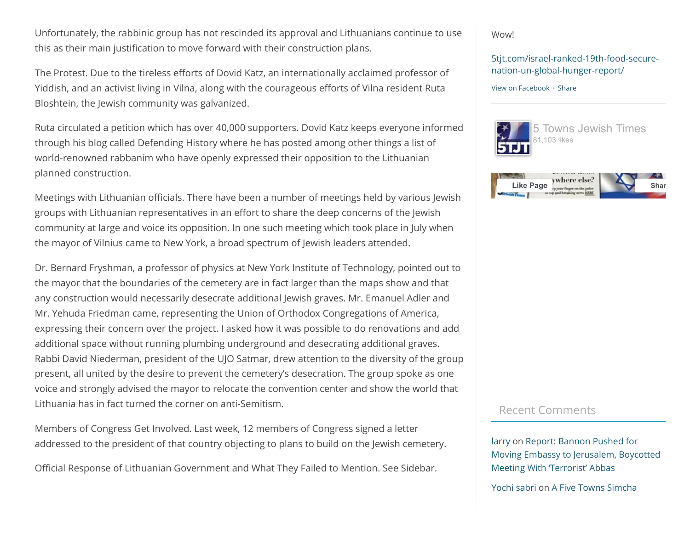Unfortunately, the rabbinic group has not rescinded its approval and Lithuanians continue to use this as their main justification to move forward with their construction plans.

The Protest. Due to the tireless efforts of Dovid Katz, an internationally acclaimed professor of Yiddish, and an activist living in Vilna, along with the courageous efforts of Vilna resident Ruta Bloshtein, the Jewish community was galvanized.

Ruta circulated a petition which has over 40,000 supporters. Dovid Katz keeps everyone informed through his blog called Defending History where he has posted among other things a list of world-renowned rabbanim who have openly expressed their opposition to the Lithuanian planned construction.

Meetings with Lithuanian officials. There have been a number of meetings held by various Jewish groups with Lithuanian representatives in an effort to share the deep concerns of the Jewish community at large and voice its opposition. In one such meeting which took place in July when the mayor of Vilnius came to New York, a broad spectrum of Jewish leaders attended.

Dr. Bernard Fryshman, a professor of physics at New York Institute of Technology, pointed out to the mayor that the boundaries of the cemetery are in fact larger than the maps show and that any construction would necessarily desecrate additional Jewish graves. Mr. Emanuel Adler and Mr. Yehuda Friedman came, representing the Union of Orthodox Congregations of America, expressing their concern over the project. I asked how it was possible to do renovations and add additional space without running plumbing underground and desecrating additional graves. Rabbi David Niederman, president of the UJO Satmar, drew attention to the diversity of the group present, all united by the desire to prevent the cemetery's desecration. The group spoke as one voice and strongly advised the mayor to relocate the convention center and show the world that Lithuania has in fact turned the corner on anti-Semitism.

Members of Congress Get Involved. Last week, 12 members of Congress signed a letter addressed to the president of that country objecting to plans to build on the Jewish cemetery.

Official Response of Lithuanian Government and What They Failed to Mention. See Sidebar.

Wow!

#### [5tjt.com/israel-ranked-19th-food-secure](http://5tjt.com/israel-ranked-19th-food-secure-nation-un-global-hunger-report/)nation-un-global-hunger-report/

#### [View on Facebook](https://www.facebook.com/149824215071132_1418349168218624) · [Share](javascript:void(0);)



### Recent Comments

[larry](http://none/) on Report: Bannon Pushed for [Moving Embassy to Jerusalem, Boycotted](http://5tjt.com/report-bannon-pushed-moving-embassy-jerusalem-boycotted-meeting-terrorist-abbas/#comment-61354) Meeting With 'Terrorist' Abbas

[Yochi sabri](http://goingrealty.com/) on [A Five Towns Simcha](http://5tjt.com/five-towns-simcha-6/#comment-61348)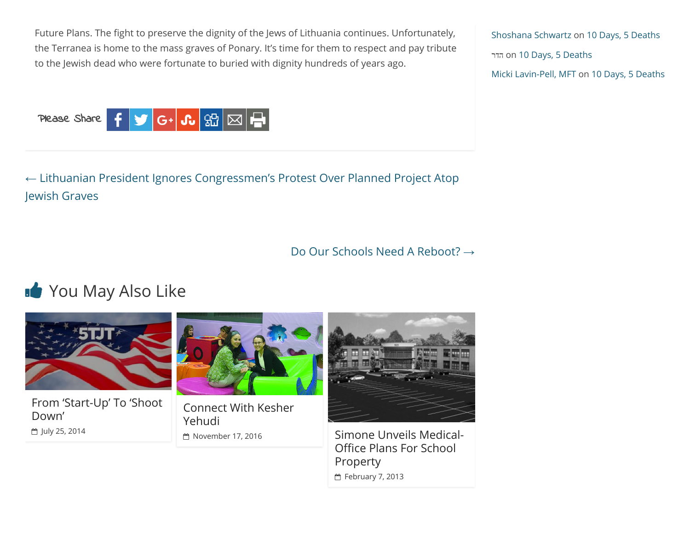Future Plans. The fight to preserve the dignity of the Jews of Lithuania continues. Unfortunately, the Terranea is home to the mass graves of Ponary. It's time for them to respect and pay tribute to the Jewish dead who were fortunate to buried with dignity hundreds of years ago.



← [Lithuanian President Ignores Congressmen's Protest Over Planned Project Atop](http://5tjt.com/lithuanian-president-ignores-congressmens-protest-planned-project-atop-jewish-graves/) Jewish Graves

[Do Our Schools Need A Reboot?](http://5tjt.com/schools-need-reboot/) →

## You May Also Like



[From 'Start-Up' To 'Shoot](http://5tjt.com/from-start-up-to-shoot-down/) Down' ₾ [July 25, 2014](http://5tjt.com/from-start-up-to-shoot-down/)



[Connect With Kesher](http://5tjt.com/connect-with-kesher-yehudi/) Yehudi



□ [November 17, 2016](http://5tjt.com/connect-with-kesher-yehudi/) [Simone Unveils Medical-](http://5tjt.com/simone-unveils-medical-office-plans-for-school-property/)Office Plans For School Property

[February 7, 2013](http://5tjt.com/simone-unveils-medical-office-plans-for-school-property/)

[Shoshana Schwartz](http://www.retorno.org/) on [10 Days, 5 Deaths](http://5tjt.com/10-days-5-deaths/#comment-61214) הדר on [10 Days, 5 Deaths](http://5tjt.com/10-days-5-deaths/#comment-61212) [Micki Lavin-Pell, MFT](http://www.mickilavinpell.co.il/) on [10 Days, 5 Deaths](http://5tjt.com/10-days-5-deaths/#comment-61211)